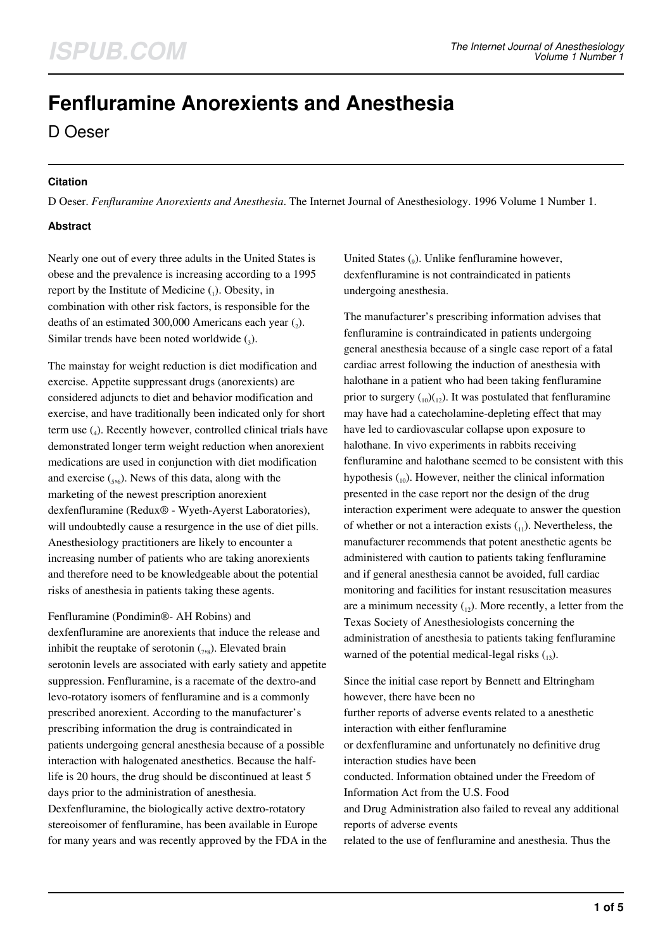# **Fenfluramine Anorexients and Anesthesia**

D Oeser

### **Citation**

D Oeser. *Fenfluramine Anorexients and Anesthesia*. The Internet Journal of Anesthesiology. 1996 Volume 1 Number 1.

### **Abstract**

Nearly one out of every three adults in the United States is obese and the prevalence is increasing according to a 1995 report by the Institute of Medicine  $_{(1)}$ . Obesity, in combination with other risk factors, is responsible for the deaths of an estimated 300,000 Americans each year  $(_{2})$ . Similar trends have been noted worldwide  $(_{3})$ .

The mainstay for weight reduction is diet modification and exercise. Appetite suppressant drugs (anorexients) are considered adjuncts to diet and behavior modification and exercise, and have traditionally been indicated only for short term use  $\binom{4}{4}$ . Recently however, controlled clinical trials have demonstrated longer term weight reduction when anorexient medications are used in conjunction with diet modification and exercise  $({}_{5},({}_{6})$ . News of this data, along with the marketing of the newest prescription anorexient dexfenfluramine (Redux® - Wyeth-Ayerst Laboratories), will undoubtedly cause a resurgence in the use of diet pills. Anesthesiology practitioners are likely to encounter a increasing number of patients who are taking anorexients and therefore need to be knowledgeable about the potential risks of anesthesia in patients taking these agents.

Fenfluramine (Pondimin®- AH Robins) and

dexfenfluramine are anorexients that induce the release and inhibit the reuptake of serotonin  $(7,8)$ . Elevated brain serotonin levels are associated with early satiety and appetite suppression. Fenfluramine, is a racemate of the dextro-and levo-rotatory isomers of fenfluramine and is a commonly prescribed anorexient. According to the manufacturer's prescribing information the drug is contraindicated in patients undergoing general anesthesia because of a possible interaction with halogenated anesthetics. Because the halflife is 20 hours, the drug should be discontinued at least 5 days prior to the administration of anesthesia. Dexfenfluramine, the biologically active dextro-rotatory stereoisomer of fenfluramine, has been available in Europe for many years and was recently approved by the FDA in the

United States  $\binom{1}{9}$ . Unlike fenfluramine however, dexfenfluramine is not contraindicated in patients undergoing anesthesia.

The manufacturer's prescribing information advises that fenfluramine is contraindicated in patients undergoing general anesthesia because of a single case report of a fatal cardiac arrest following the induction of anesthesia with halothane in a patient who had been taking fenfluramine prior to surgery  $\binom{10}{12}$ . It was postulated that fenfluramine may have had a catecholamine-depleting effect that may have led to cardiovascular collapse upon exposure to halothane. In vivo experiments in rabbits receiving fenfluramine and halothane seemed to be consistent with this hypothesis  $\binom{10}{10}$ . However, neither the clinical information presented in the case report nor the design of the drug interaction experiment were adequate to answer the question of whether or not a interaction exists  $_{(1)}$ ). Nevertheless, the manufacturer recommends that potent anesthetic agents be administered with caution to patients taking fenfluramine and if general anesthesia cannot be avoided, full cardiac monitoring and facilities for instant resuscitation measures are a minimum necessity  $_{12}$ ). More recently, a letter from the Texas Society of Anesthesiologists concerning the administration of anesthesia to patients taking fenfluramine warned of the potential medical-legal risks  $\binom{13}{13}$ .

Since the initial case report by Bennett and Eltringham however, there have been no further reports of adverse events related to a anesthetic interaction with either fenfluramine or dexfenfluramine and unfortunately no definitive drug interaction studies have been conducted. Information obtained under the Freedom of Information Act from the U.S. Food and Drug Administration also failed to reveal any additional reports of adverse events related to the use of fenfluramine and anesthesia. Thus the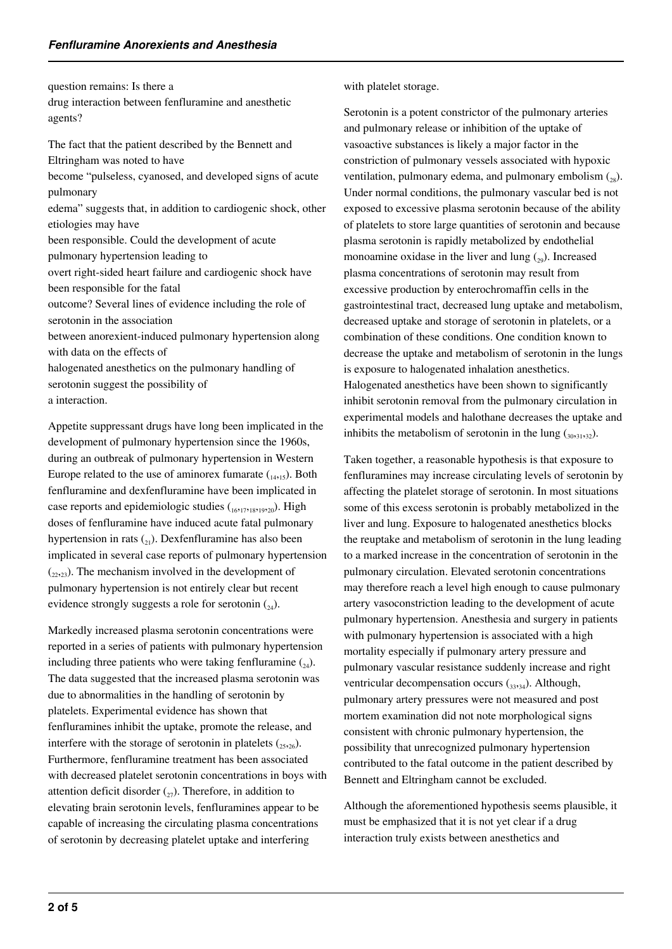question remains: Is there a

drug interaction between fenfluramine and anesthetic agents?

The fact that the patient described by the Bennett and Eltringham was noted to have become "pulseless, cyanosed, and developed signs of acute pulmonary edema" suggests that, in addition to cardiogenic shock, other etiologies may have been responsible. Could the development of acute pulmonary hypertension leading to overt right-sided heart failure and cardiogenic shock have been responsible for the fatal outcome? Several lines of evidence including the role of serotonin in the association between anorexient-induced pulmonary hypertension along with data on the effects of halogenated anesthetics on the pulmonary handling of serotonin suggest the possibility of a interaction.

Appetite suppressant drugs have long been implicated in the development of pulmonary hypertension since the 1960s, during an outbreak of pulmonary hypertension in Western Europe related to the use of aminorex fumarate  $_{14,15}$ ). Both fenfluramine and dexfenfluramine have been implicated in case reports and epidemiologic studies  $({}_{16},17},{}_{18},19},{}_{20})$ . High doses of fenfluramine have induced acute fatal pulmonary hypertension in rats  $\binom{21}{21}$ . Dexfenfluramine has also been implicated in several case reports of pulmonary hypertension  $(22,22)$ . The mechanism involved in the development of pulmonary hypertension is not entirely clear but recent evidence strongly suggests a role for serotonin  $_{24}$ ).

Markedly increased plasma serotonin concentrations were reported in a series of patients with pulmonary hypertension including three patients who were taking fenfluramine  $\binom{24}{4}$ . The data suggested that the increased plasma serotonin was due to abnormalities in the handling of serotonin by platelets. Experimental evidence has shown that fenfluramines inhibit the uptake, promote the release, and interfere with the storage of serotonin in platelets  $({}_{2526})$ . Furthermore, fenfluramine treatment has been associated with decreased platelet serotonin concentrations in boys with attention deficit disorder  $\binom{27}{27}$ . Therefore, in addition to elevating brain serotonin levels, fenfluramines appear to be capable of increasing the circulating plasma concentrations of serotonin by decreasing platelet uptake and interfering

with platelet storage.

Serotonin is a potent constrictor of the pulmonary arteries and pulmonary release or inhibition of the uptake of vasoactive substances is likely a major factor in the constriction of pulmonary vessels associated with hypoxic ventilation, pulmonary edema, and pulmonary embolism  $\binom{8}{28}$ . Under normal conditions, the pulmonary vascular bed is not exposed to excessive plasma serotonin because of the ability of platelets to store large quantities of serotonin and because plasma serotonin is rapidly metabolized by endothelial monoamine oxidase in the liver and lung  $(29)$ . Increased plasma concentrations of serotonin may result from excessive production by enterochromaffin cells in the gastrointestinal tract, decreased lung uptake and metabolism, decreased uptake and storage of serotonin in platelets, or a combination of these conditions. One condition known to decrease the uptake and metabolism of serotonin in the lungs is exposure to halogenated inhalation anesthetics. Halogenated anesthetics have been shown to significantly inhibit serotonin removal from the pulmonary circulation in experimental models and halothane decreases the uptake and inhibits the metabolism of serotonin in the lung  $(30,31,32)$ .

Taken together, a reasonable hypothesis is that exposure to fenfluramines may increase circulating levels of serotonin by affecting the platelet storage of serotonin. In most situations some of this excess serotonin is probably metabolized in the liver and lung. Exposure to halogenated anesthetics blocks the reuptake and metabolism of serotonin in the lung leading to a marked increase in the concentration of serotonin in the pulmonary circulation. Elevated serotonin concentrations may therefore reach a level high enough to cause pulmonary artery vasoconstriction leading to the development of acute pulmonary hypertension. Anesthesia and surgery in patients with pulmonary hypertension is associated with a high mortality especially if pulmonary artery pressure and pulmonary vascular resistance suddenly increase and right ventricular decompensation occurs  $_{33,34}$ ). Although, pulmonary artery pressures were not measured and post mortem examination did not note morphological signs consistent with chronic pulmonary hypertension, the possibility that unrecognized pulmonary hypertension contributed to the fatal outcome in the patient described by Bennett and Eltringham cannot be excluded.

Although the aforementioned hypothesis seems plausible, it must be emphasized that it is not yet clear if a drug interaction truly exists between anesthetics and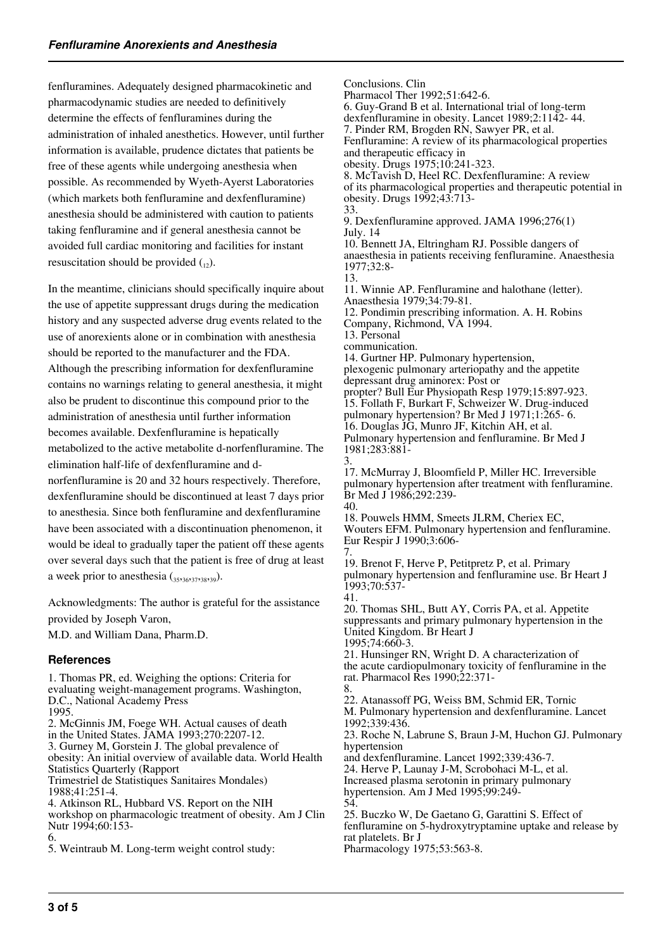fenfluramines. Adequately designed pharmacokinetic and pharmacodynamic studies are needed to definitively determine the effects of fenfluramines during the administration of inhaled anesthetics. However, until further information is available, prudence dictates that patients be free of these agents while undergoing anesthesia when possible. As recommended by Wyeth-Ayerst Laboratories (which markets both fenfluramine and dexfenfluramine) anesthesia should be administered with caution to patients taking fenfluramine and if general anesthesia cannot be avoided full cardiac monitoring and facilities for instant resuscitation should be provided  $_{(12)}$ .

In the meantime, clinicians should specifically inquire about the use of appetite suppressant drugs during the medication history and any suspected adverse drug events related to the use of anorexients alone or in combination with anesthesia should be reported to the manufacturer and the FDA. Although the prescribing information for dexfenfluramine contains no warnings relating to general anesthesia, it might also be prudent to discontinue this compound prior to the administration of anesthesia until further information becomes available. Dexfenfluramine is hepatically metabolized to the active metabolite d-norfenfluramine. The elimination half-life of dexfenfluramine and dnorfenfluramine is 20 and 32 hours respectively. Therefore, dexfenfluramine should be discontinued at least 7 days prior to anesthesia. Since both fenfluramine and dexfenfluramine have been associated with a discontinuation phenomenon, it would be ideal to gradually taper the patient off these agents over several days such that the patient is free of drug at least a week prior to anesthesia  $_{35,36,37,38,39}$ ).

Acknowledgments: The author is grateful for the assistance provided by Joseph Varon,

M.D. and William Dana, Pharm.D.

#### **References**

1. Thomas PR, ed. Weighing the options: Criteria for evaluating weight-management programs. Washington, D.C., National Academy Press 1995. 2. McGinnis JM, Foege WH. Actual causes of death in the United States. JAMA 1993;270:2207-12. 3. Gurney M, Gorstein J. The global prevalence of obesity: An initial overview of available data. World Health Statistics Quarterly (Rapport Trimestriel de Statistiques Sanitaires Mondales) 1988;41:251-4. 4. Atkinson RL, Hubbard VS. Report on the NIH workshop on pharmacologic treatment of obesity. Am J Clin Nutr 1994;60:153-6.

5. Weintraub M. Long-term weight control study:

Conclusions. Clin

Pharmacol Ther 1992;51:642-6. 6. Guy-Grand B et al. International trial of long-term

dexfenfluramine in obesity. Lancet 1989;2:1142- 44.

7. Pinder RM, Brogden RN, Sawyer PR, et al.

Fenfluramine: A review of its pharmacological properties and therapeutic efficacy in

obesity. Drugs 1975;10:241-323.

8. McTavish D, Heel RC. Dexfenfluramine: A review of its pharmacological properties and therapeutic potential in obesity. Drugs 1992;43:713- 33.

9. Dexfenfluramine approved. JAMA 1996;276(1) July. 14

10. Bennett JA, Eltringham RJ. Possible dangers of anaesthesia in patients receiving fenfluramine. Anaesthesia 1977;32:8-

13. 11. Winnie AP. Fenfluramine and halothane (letter). Anaesthesia 1979;34:79-81. 12. Pondimin prescribing information. A. H. Robins

Company, Richmond, VA 1994.

13. Personal

communication.

14. Gurtner HP. Pulmonary hypertension, plexogenic pulmonary arteriopathy and the appetite depressant drug aminorex: Post or

propter? Bull Eur Physiopath Resp 1979;15:897-923. 15. Follath F, Burkart F, Schweizer W. Drug-induced pulmonary hypertension? Br Med J 1971;1:265- 6. 16. Douglas JG, Munro JF, Kitchin AH, et al. Pulmonary hypertension and fenfluramine. Br Med J 1981;283:881-

3. 17. McMurray J, Bloomfield P, Miller HC. Irreversible pulmonary hypertension after treatment with fenfluramine. Br Med J 1986;292:239- 40.

18. Pouwels HMM, Smeets JLRM, Cheriex EC, Wouters EFM. Pulmonary hypertension and fenfluramine. Eur Respir J 1990;3:606-

7. 19. Brenot F, Herve P, Petitpretz P, et al. Primary pulmonary hypertension and fenfluramine use. Br Heart J 1993;70:537-

41. 20. Thomas SHL, Butt AY, Corris PA, et al. Appetite suppressants and primary pulmonary hypertension in the United Kingdom. Br Heart J 1995;74:660-3.

21. Hunsinger RN, Wright D. A characterization of the acute cardiopulmonary toxicity of fenfluramine in the rat. Pharmacol Res 1990;22:371- 8.

22. Atanassoff PG, Weiss BM, Schmid ER, Tornic M. Pulmonary hypertension and dexfenfluramine. Lancet 1992;339:436. 23. Roche N, Labrune S, Braun J-M, Huchon GJ. Pulmonary hypertension and dexfenfluramine. Lancet 1992;339:436-7.

24. Herve P, Launay J-M, Scrobohaci M-L, et al. Increased plasma serotonin in primary pulmonary hypertension. Am J Med 1995;99:249-

54.

25. Buczko W, De Gaetano G, Garattini S. Effect of fenfluramine on 5-hydroxytryptamine uptake and release by rat platelets. Br J Pharmacology 1975;53:563-8.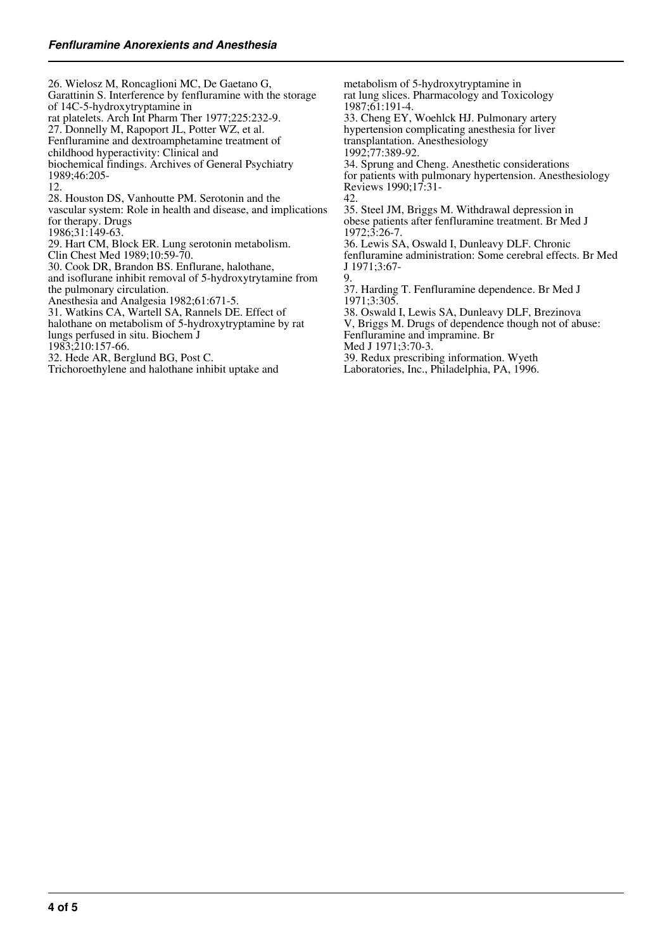26. Wielosz M, Roncaglioni MC, De Gaetano G, Garattinin S. Interference by fenfluramine with the storage of 14C-5-hydroxytryptamine in rat platelets. Arch Int Pharm Ther 1977;225:232-9. 27. Donnelly M, Rapoport JL, Potter WZ, et al. Fenfluramine and dextroamphetamine treatment of childhood hyperactivity: Clinical and biochemical findings. Archives of General Psychiatry 1989;46:205- 12. 28. Houston DS, Vanhoutte PM. Serotonin and the vascular system: Role in health and disease, and implications for therapy. Drugs 1986;31:149-63. 29. Hart CM, Block ER. Lung serotonin metabolism. Clin Chest Med 1989;10:59-70. 30. Cook DR, Brandon BS. Enflurane, halothane, and isoflurane inhibit removal of 5-hydroxytrytamine from the pulmonary circulation. Anesthesia and Analgesia 1982;61:671-5. 31. Watkins CA, Wartell SA, Rannels DE. Effect of halothane on metabolism of 5-hydroxytryptamine by rat lungs perfused in situ. Biochem J 1983;210:157-66. 32. Hede AR, Berglund BG, Post C. Trichoroethylene and halothane inhibit uptake and 42. 9.

metabolism of 5-hydroxytryptamine in rat lung slices. Pharmacology and Toxicology 1987;61:191-4. 33. Cheng EY, Woehlck HJ. Pulmonary artery hypertension complicating anesthesia for liver transplantation. Anesthesiology 1992;77:389-92. 34. Sprung and Cheng. Anesthetic considerations for patients with pulmonary hypertension. Anesthesiology Reviews 1990;17:31- 35. Steel JM, Briggs M. Withdrawal depression in obese patients after fenfluramine treatment. Br Med J 1972;3:26-7. 36. Lewis SA, Oswald I, Dunleavy DLF. Chronic fenfluramine administration: Some cerebral effects. Br Med J 1971;3:67- 37. Harding T. Fenfluramine dependence. Br Med J 1971;3:305. 38. Oswald I, Lewis SA, Dunleavy DLF, Brezinova V, Briggs M. Drugs of dependence though not of abuse: Fenfluramine and impramine. Br Med J 1971;3:70-3.

- 39. Redux prescribing information. Wyeth
- Laboratories, Inc., Philadelphia, PA, 1996.